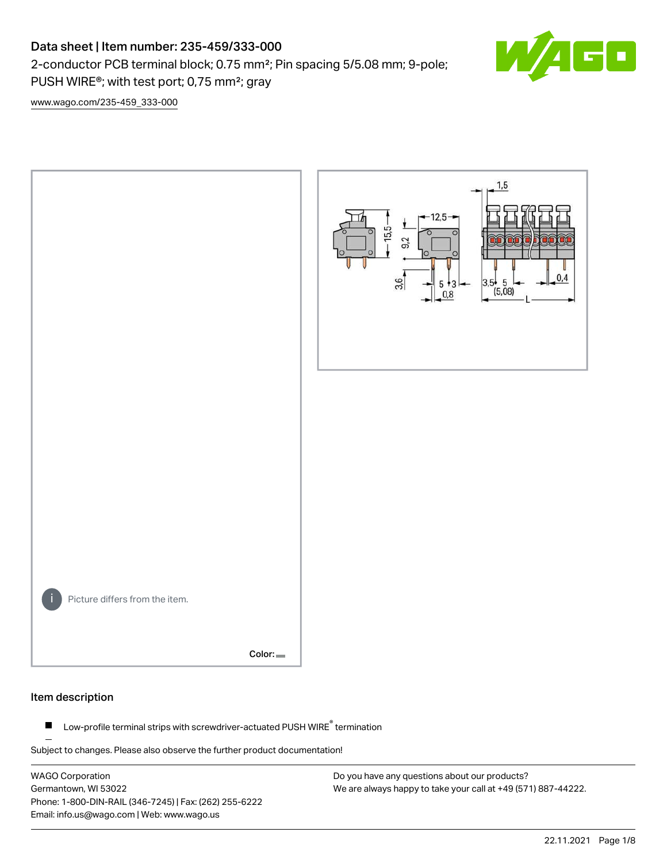## Data sheet | Item number: 235-459/333-000

2-conductor PCB terminal block; 0.75 mm²; Pin spacing 5/5.08 mm; 9-pole; PUSH WIRE®; with test port; 0,75 mm²; gray



[www.wago.com/235-459\\_333-000](http://www.wago.com/235-459_333-000)



### Item description

Low-profile terminal strips with screwdriver-actuated PUSH WIRE® termination  $\blacksquare$ 

Subject to changes. Please also observe the further product documentation!

WAGO Corporation Germantown, WI 53022 Phone: 1-800-DIN-RAIL (346-7245) | Fax: (262) 255-6222 Email: info.us@wago.com | Web: www.wago.us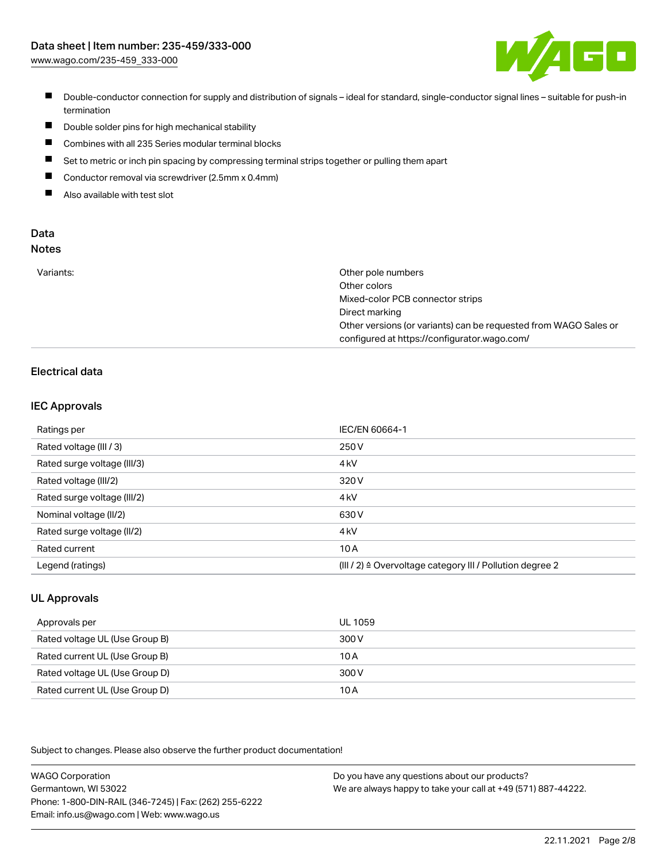

- Double-conductor connection for supply and distribution of signals ideal for standard, single-conductor signal lines suitable for push-in termination
- $\blacksquare$ Double solder pins for high mechanical stability
- $\blacksquare$ Combines with all 235 Series modular terminal blocks
- $\blacksquare$ Set to metric or inch pin spacing by compressing terminal strips together or pulling them apart
- $\blacksquare$ Conductor removal via screwdriver (2.5mm x 0.4mm)
- $\blacksquare$ Also available with test slot

#### Data Notes

| w<br>۰, | I<br>×<br>v<br>۹<br>٠ | ×<br>۰. |
|---------|-----------------------|---------|
|         |                       |         |

| Variants: | Other pole numbers                                               |
|-----------|------------------------------------------------------------------|
|           | Other colors                                                     |
|           | Mixed-color PCB connector strips                                 |
|           | Direct marking                                                   |
|           | Other versions (or variants) can be requested from WAGO Sales or |
|           | configured at https://configurator.wago.com/                     |

## Electrical data

### IEC Approvals

| Ratings per                 | IEC/EN 60664-1                                                       |
|-----------------------------|----------------------------------------------------------------------|
| Rated voltage (III / 3)     | 250 V                                                                |
| Rated surge voltage (III/3) | 4 <sub>kV</sub>                                                      |
| Rated voltage (III/2)       | 320 V                                                                |
| Rated surge voltage (III/2) | 4 <sub>kV</sub>                                                      |
| Nominal voltage (II/2)      | 630 V                                                                |
| Rated surge voltage (II/2)  | 4 <sub>k</sub> V                                                     |
| Rated current               | 10A                                                                  |
| Legend (ratings)            | (III / 2) $\triangleq$ Overvoltage category III / Pollution degree 2 |

### UL Approvals

| Approvals per                  | UL 1059 |
|--------------------------------|---------|
| Rated voltage UL (Use Group B) | 300 V   |
| Rated current UL (Use Group B) | 10 A    |
| Rated voltage UL (Use Group D) | 300 V   |
| Rated current UL (Use Group D) | 10 A    |

Subject to changes. Please also observe the further product documentation!

| <b>WAGO Corporation</b>                                | Do you have any questions about our products?                 |
|--------------------------------------------------------|---------------------------------------------------------------|
| Germantown, WI 53022                                   | We are always happy to take your call at +49 (571) 887-44222. |
| Phone: 1-800-DIN-RAIL (346-7245)   Fax: (262) 255-6222 |                                                               |
| Email: info.us@wago.com   Web: www.wago.us             |                                                               |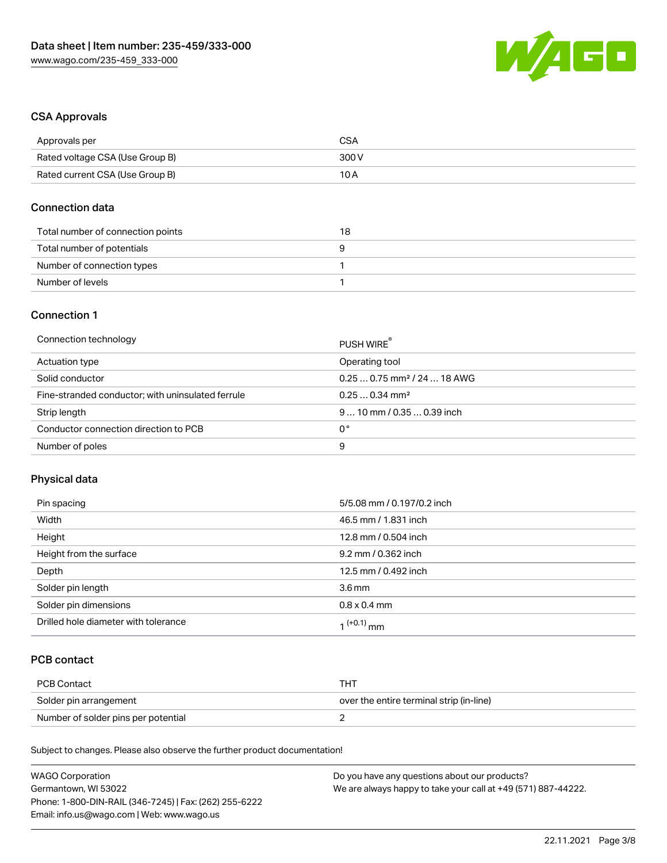

## CSA Approvals

| Approvals per                   | CSA   |
|---------------------------------|-------|
| Rated voltage CSA (Use Group B) | 300 V |
| Rated current CSA (Use Group B) | 10 A  |

#### Connection data

| Total number of connection points | 18 |
|-----------------------------------|----|
| Total number of potentials        |    |
| Number of connection types        |    |
| Number of levels                  |    |

#### Connection 1

| Connection technology                             | PUSH WIRE                               |
|---------------------------------------------------|-----------------------------------------|
| Actuation type                                    | Operating tool                          |
| Solid conductor                                   | $0.250.75$ mm <sup>2</sup> / 24  18 AWG |
| Fine-stranded conductor; with uninsulated ferrule | $0.250.34$ mm <sup>2</sup>              |
| Strip length                                      | $910$ mm $/0.350.39$ inch               |
| Conductor connection direction to PCB             | 0°                                      |
| Number of poles                                   | 9                                       |

## Physical data

| Pin spacing                          | 5/5.08 mm / 0.197/0.2 inch |
|--------------------------------------|----------------------------|
| Width                                | 46.5 mm / 1.831 inch       |
| Height                               | 12.8 mm / 0.504 inch       |
| Height from the surface              | 9.2 mm / 0.362 inch        |
| Depth                                | 12.5 mm / 0.492 inch       |
| Solder pin length                    | $3.6 \,\mathrm{mm}$        |
| Solder pin dimensions                | $0.8 \times 0.4$ mm        |
| Drilled hole diameter with tolerance | 1 <sup>(+0.1)</sup> mm     |

## PCB contact

| PCB Contact                         | TH .                                     |
|-------------------------------------|------------------------------------------|
| Solder pin arrangement              | over the entire terminal strip (in-line) |
| Number of solder pins per potential |                                          |

Subject to changes. Please also observe the further product documentation!

| <b>WAGO Corporation</b>                                | Do you have any questions about our products?                 |
|--------------------------------------------------------|---------------------------------------------------------------|
| Germantown, WI 53022                                   | We are always happy to take your call at +49 (571) 887-44222. |
| Phone: 1-800-DIN-RAIL (346-7245)   Fax: (262) 255-6222 |                                                               |
| Email: info.us@wago.com   Web: www.wago.us             |                                                               |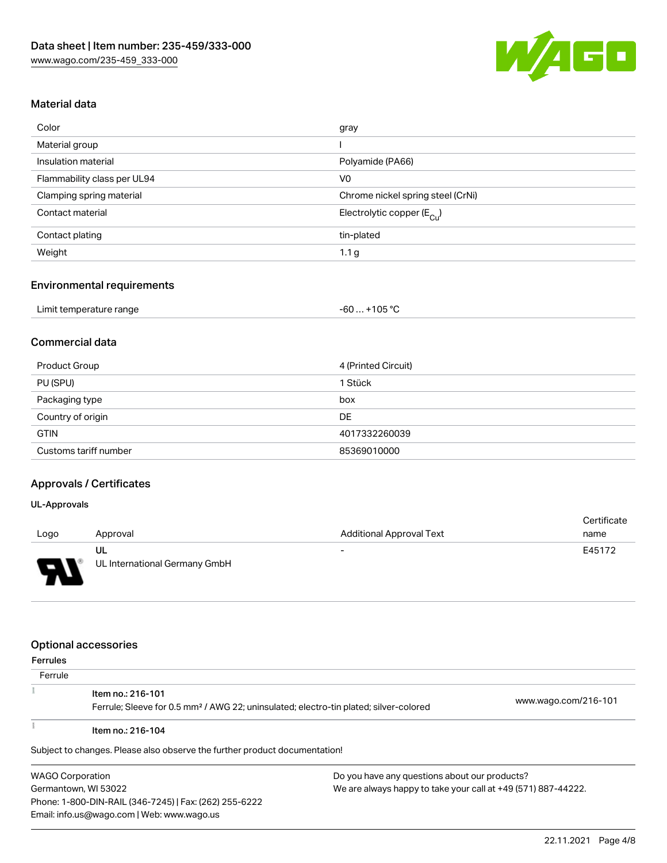

## Material data

| Color                       | gray                                    |
|-----------------------------|-----------------------------------------|
| Material group              |                                         |
| Insulation material         | Polyamide (PA66)                        |
| Flammability class per UL94 | V <sub>0</sub>                          |
| Clamping spring material    | Chrome nickel spring steel (CrNi)       |
| Contact material            | Electrolytic copper ( $E_{\text{Cu}}$ ) |
| Contact plating             | tin-plated                              |
| Weight                      | 1.1 <sub>g</sub>                        |

#### Environmental requirements

| Limit temperature range | $-60+105 °C$ |
|-------------------------|--------------|

## Commercial data

| Product Group         | 4 (Printed Circuit) |
|-----------------------|---------------------|
| PU (SPU)              | 1 Stück             |
| Packaging type        | box                 |
| Country of origin     | DE                  |
| <b>GTIN</b>           | 4017332260039       |
| Customs tariff number | 85369010000         |

## Approvals / Certificates

#### UL-Approvals

| Logo                   | Approval                            | <b>Additional Approval Text</b> | Certificate<br>name |
|------------------------|-------------------------------------|---------------------------------|---------------------|
| s<br>◡<br>$\mathbf{r}$ | UL<br>UL International Germany GmbH | $\overline{\phantom{0}}$        | E45172              |

#### Optional accessories

Phone: 1-800-DIN-RAIL (346-7245) | Fax: (262) 255-6222

Email: info.us@wago.com | Web: www.wago.us

| <b>Ferrules</b>         |                                                                                                   |  |                                                               |  |
|-------------------------|---------------------------------------------------------------------------------------------------|--|---------------------------------------------------------------|--|
| Ferrule                 |                                                                                                   |  |                                                               |  |
|                         | Item no.: 216-101                                                                                 |  |                                                               |  |
|                         | Ferrule; Sleeve for 0.5 mm <sup>2</sup> / AWG 22; uninsulated; electro-tin plated; silver-colored |  | www.wago.com/216-101                                          |  |
|                         | Item no.: 216-104                                                                                 |  |                                                               |  |
|                         | Subject to changes. Please also observe the further product documentation!                        |  |                                                               |  |
| <b>WAGO Corporation</b> |                                                                                                   |  | Do you have any questions about our products?                 |  |
| Germantown, WI 53022    |                                                                                                   |  | We are always happy to take your call at +49 (571) 887-44222. |  |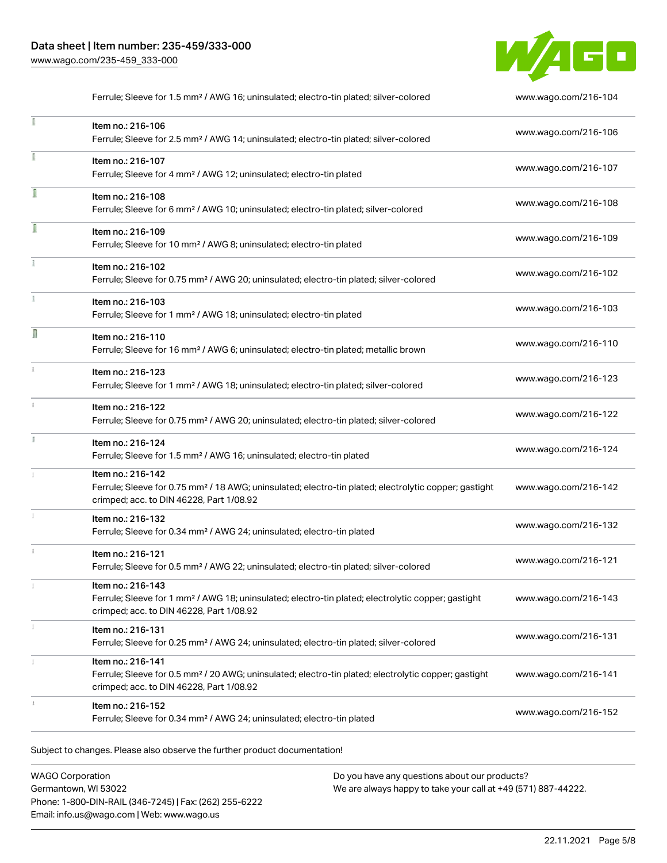I

Î

î

n

 $\mathbf{i}$ 

Ĭ



Subject to changes. Please also observe the further product documentation! Ferrule; Sleeve for 1.5 mm² / AWG 16; uninsulated; electro-tin plated; silver-colored [www.wago.com/216-104](http://www.wago.com/216-104) Item no.: 216-106 Ferrule; Sleeve for 2.5 mm² / AWG 14; uninsulated; electro-tin plated; silver-colored [www.wago.com/216-106](http://www.wago.com/216-106) Item no.: 216-107 Ferrule; Sleeve for 4 mm² / AWG 12; uninsulated; electro-tin plated [www.wago.com/216-107](http://www.wago.com/216-107) Item no.: 216-108 Ferrule; Sleeve for 6 mm² / AWG 10; uninsulated; electro-tin plated; silver-colored [www.wago.com/216-108](http://www.wago.com/216-108) Item no.: 216-109 Ferrule; Sleeve for 10 mm² / AWG 8; uninsulated; electro-tin plated [www.wago.com/216-109](http://www.wago.com/216-109) Item no.: 216-102 Ferrule; Sleeve for 0.75 mm² / AWG 20; uninsulated; electro-tin plated; silver-colored [www.wago.com/216-102](http://www.wago.com/216-102) Item no.: 216-103 Ferrule; Sleeve for 1 mm² / AWG 18; uninsulated; electro-tin plated [www.wago.com/216-103](http://www.wago.com/216-103) Item no.: 216-110 Ferrule; Sleeve for 16 mm² / AWG 6; uninsulated; electro-tin plated; metallic brown [www.wago.com/216-110](http://www.wago.com/216-110) Item no.: 216-123 Ferrule; Sleeve for 1 mm² / AWG 18; uninsulated; electro-tin plated; silver-colored [www.wago.com/216-123](http://www.wago.com/216-123) Item no.: 216-122 Ferrule; Sleeve for 0.75 mm² / AWG 20; uninsulated; electro-tin plated; silver-colored [www.wago.com/216-122](http://www.wago.com/216-122) Item no.: 216-124 Ferrule; Sleeve for 1.5 mm<sup>2</sup> / AWG 16; uninsulated; electro-tin plated [www.wago.com/216-124](http://www.wago.com/216-124) Item no.: 216-142 Ferrule; Sleeve for 0.75 mm<sup>2</sup> / 18 AWG; uninsulated; electro-tin plated; electrolytic copper; gastight crimped; acc. to DIN 46228, Part 1/08.92 [www.wago.com/216-142](http://www.wago.com/216-142) Item no.: 216-132 Ferrule; Sleeve for 0.34 mm² / AWG 24; uninsulated; electro-tin plated [www.wago.com/216-132](http://www.wago.com/216-132) Item no.: 216-121 Ferrule; Sleeve for 0.5 mm² / AWG 22; uninsulated; electro-tin plated; silver-colored [www.wago.com/216-121](http://www.wago.com/216-121) Item no.: 216-143 Ferrule; Sleeve for 1 mm² / AWG 18; uninsulated; electro-tin plated; electrolytic copper; gastight crimped; acc. to DIN 46228, Part 1/08.92 [www.wago.com/216-143](http://www.wago.com/216-143) Item no.: 216-131 Ferrule; Sleeve for 0.25 mm² / AWG 24; uninsulated; electro-tin plated; silver-colored [www.wago.com/216-131](http://www.wago.com/216-131) Item no.: 216-141 Ferrule; Sleeve for 0.5 mm² / 20 AWG; uninsulated; electro-tin plated; electrolytic copper; gastight crimped; acc. to DIN 46228, Part 1/08.92 [www.wago.com/216-141](http://www.wago.com/216-141) Item no.: 216-152 Ferrule; Sleeve for 0.34 mm² / AWG 24; uninsulated; electro-tin plated [www.wago.com/216-152](http://www.wago.com/216-152)

WAGO Corporation Germantown, WI 53022 Phone: 1-800-DIN-RAIL (346-7245) | Fax: (262) 255-6222 Email: info.us@wago.com | Web: www.wago.us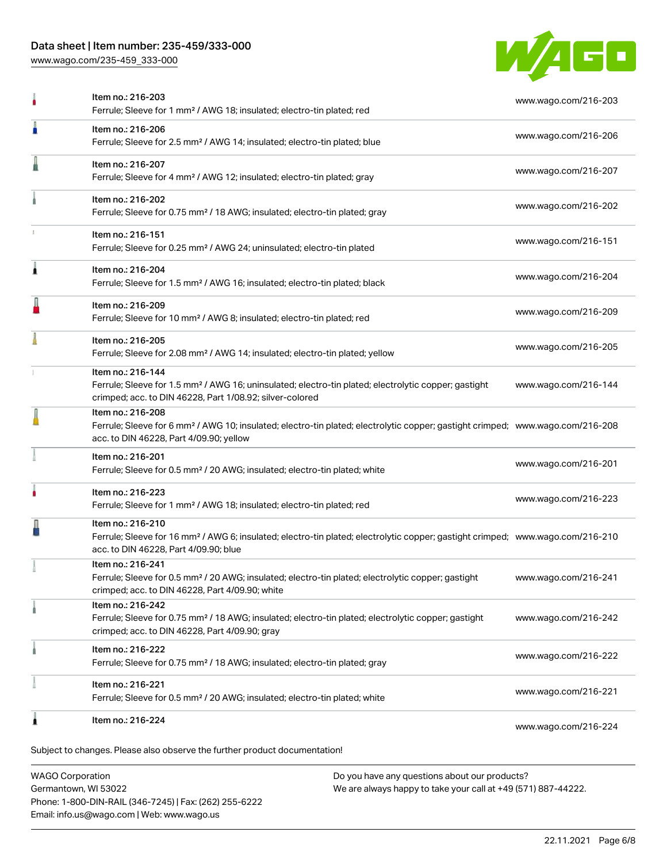## Data sheet | Item number: 235-459/333-000

[www.wago.com/235-459\\_333-000](http://www.wago.com/235-459_333-000)



| 1 | Item no.: 216-224                                                                                                                                                                                          | www.wago.com/216-224 |
|---|------------------------------------------------------------------------------------------------------------------------------------------------------------------------------------------------------------|----------------------|
|   | Item no.: 216-221<br>Ferrule; Sleeve for 0.5 mm <sup>2</sup> / 20 AWG; insulated; electro-tin plated; white                                                                                                | www.wago.com/216-221 |
|   | Item no.: 216-222<br>Ferrule; Sleeve for 0.75 mm <sup>2</sup> / 18 AWG; insulated; electro-tin plated; gray                                                                                                | www.wago.com/216-222 |
|   | Item no.: 216-242<br>Ferrule; Sleeve for 0.75 mm <sup>2</sup> / 18 AWG; insulated; electro-tin plated; electrolytic copper; gastight<br>crimped; acc. to DIN 46228, Part 4/09.90; gray                     | www.wago.com/216-242 |
|   | Item no.: 216-241<br>Ferrule; Sleeve for 0.5 mm <sup>2</sup> / 20 AWG; insulated; electro-tin plated; electrolytic copper; gastight<br>crimped; acc. to DIN 46228, Part 4/09.90; white                     | www.wago.com/216-241 |
|   | Item no.: 216-210<br>Ferrule; Sleeve for 16 mm <sup>2</sup> / AWG 6; insulated; electro-tin plated; electrolytic copper; gastight crimped; www.wago.com/216-210<br>acc. to DIN 46228, Part 4/09.90; blue   |                      |
|   | Item no.: 216-223<br>Ferrule; Sleeve for 1 mm <sup>2</sup> / AWG 18; insulated; electro-tin plated; red                                                                                                    | www.wago.com/216-223 |
|   | Item no.: 216-201<br>Ferrule; Sleeve for 0.5 mm <sup>2</sup> / 20 AWG; insulated; electro-tin plated; white                                                                                                | www.wago.com/216-201 |
|   | Item no.: 216-208<br>Ferrule; Sleeve for 6 mm <sup>2</sup> / AWG 10; insulated; electro-tin plated; electrolytic copper; gastight crimped; www.wago.com/216-208<br>acc. to DIN 46228, Part 4/09.90; yellow |                      |
|   | Item no.: 216-144<br>Ferrule; Sleeve for 1.5 mm <sup>2</sup> / AWG 16; uninsulated; electro-tin plated; electrolytic copper; gastight<br>crimped; acc. to DIN 46228, Part 1/08.92; silver-colored          | www.wago.com/216-144 |
|   | Item no.: 216-205<br>Ferrule; Sleeve for 2.08 mm <sup>2</sup> / AWG 14; insulated; electro-tin plated; yellow                                                                                              | www.wago.com/216-205 |
|   | Item no.: 216-209<br>Ferrule; Sleeve for 10 mm <sup>2</sup> / AWG 8; insulated; electro-tin plated; red                                                                                                    | www.wago.com/216-209 |
| 1 | Item no.: 216-204<br>Ferrule; Sleeve for 1.5 mm <sup>2</sup> / AWG 16; insulated; electro-tin plated; black                                                                                                | www.wago.com/216-204 |
|   | Item no.: 216-151<br>Ferrule; Sleeve for 0.25 mm <sup>2</sup> / AWG 24; uninsulated; electro-tin plated                                                                                                    | www.wago.com/216-151 |
|   | Item no.: 216-202<br>Ferrule; Sleeve for 0.75 mm <sup>2</sup> / 18 AWG; insulated; electro-tin plated; gray                                                                                                | www.wago.com/216-202 |
|   | Item no.: 216-207<br>Ferrule; Sleeve for 4 mm <sup>2</sup> / AWG 12; insulated; electro-tin plated; gray                                                                                                   | www.wago.com/216-207 |
|   | Item no.: 216-206<br>Ferrule; Sleeve for 2.5 mm <sup>2</sup> / AWG 14; insulated; electro-tin plated; blue                                                                                                 | www.wago.com/216-206 |
|   | Item no.: 216-203<br>Ferrule; Sleeve for 1 mm <sup>2</sup> / AWG 18; insulated; electro-tin plated; red                                                                                                    | www.wago.com/216-203 |

WAGO Corporation Germantown, WI 53022 Phone: 1-800-DIN-RAIL (346-7245) | Fax: (262) 255-6222 Email: info.us@wago.com | Web: www.wago.us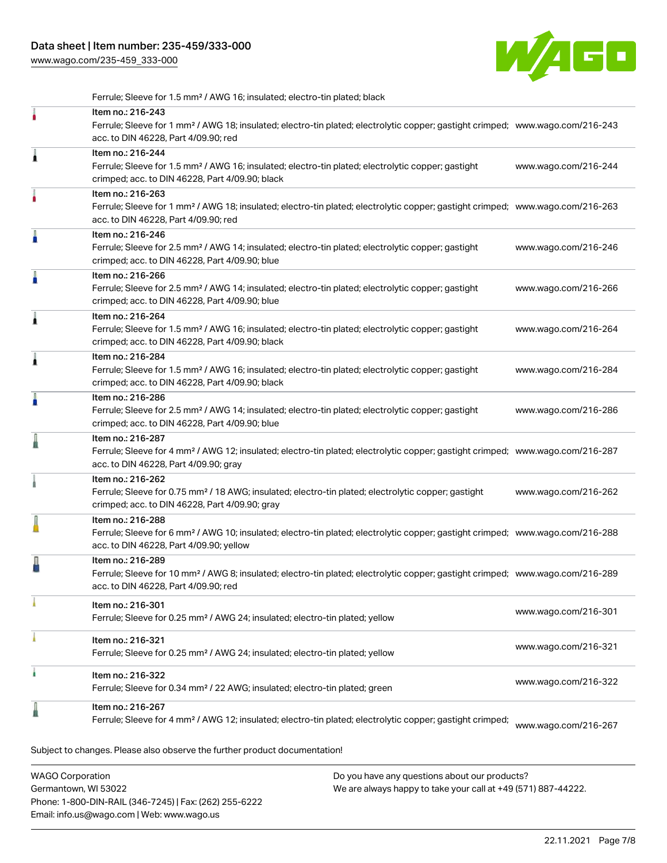[www.wago.com/235-459\\_333-000](http://www.wago.com/235-459_333-000)



Ferrule; Sleeve for 1.5 mm² / AWG 16; insulated; electro-tin plated; black

|   | Item no.: 216-243<br>Ferrule; Sleeve for 1 mm <sup>2</sup> / AWG 18; insulated; electro-tin plated; electrolytic copper; gastight crimped; www.wago.com/216-243<br>acc. to DIN 46228, Part 4/09.90; red    |                      |
|---|------------------------------------------------------------------------------------------------------------------------------------------------------------------------------------------------------------|----------------------|
| Â | Item no.: 216-244<br>Ferrule; Sleeve for 1.5 mm <sup>2</sup> / AWG 16; insulated; electro-tin plated; electrolytic copper; gastight<br>crimped; acc. to DIN 46228, Part 4/09.90; black                     | www.wago.com/216-244 |
|   | Item no.: 216-263<br>Ferrule; Sleeve for 1 mm <sup>2</sup> / AWG 18; insulated; electro-tin plated; electrolytic copper; gastight crimped; www.wago.com/216-263<br>acc. to DIN 46228, Part 4/09.90; red    |                      |
|   | Item no.: 216-246<br>Ferrule; Sleeve for 2.5 mm <sup>2</sup> / AWG 14; insulated; electro-tin plated; electrolytic copper; gastight<br>crimped; acc. to DIN 46228, Part 4/09.90; blue                      | www.wago.com/216-246 |
|   | Item no.: 216-266<br>Ferrule; Sleeve for 2.5 mm <sup>2</sup> / AWG 14; insulated; electro-tin plated; electrolytic copper; gastight<br>crimped; acc. to DIN 46228, Part 4/09.90; blue                      | www.wago.com/216-266 |
| 1 | Item no.: 216-264<br>Ferrule; Sleeve for 1.5 mm <sup>2</sup> / AWG 16; insulated; electro-tin plated; electrolytic copper; gastight<br>crimped; acc. to DIN 46228, Part 4/09.90; black                     | www.wago.com/216-264 |
| ۸ | Item no.: 216-284<br>Ferrule; Sleeve for 1.5 mm <sup>2</sup> / AWG 16; insulated; electro-tin plated; electrolytic copper; gastight<br>crimped; acc. to DIN 46228, Part 4/09.90; black                     | www.wago.com/216-284 |
| A | Item no.: 216-286<br>Ferrule; Sleeve for 2.5 mm <sup>2</sup> / AWG 14; insulated; electro-tin plated; electrolytic copper; gastight<br>crimped; acc. to DIN 46228, Part 4/09.90; blue                      | www.wago.com/216-286 |
|   | Item no.: 216-287<br>Ferrule; Sleeve for 4 mm <sup>2</sup> / AWG 12; insulated; electro-tin plated; electrolytic copper; gastight crimped; www.wago.com/216-287<br>acc. to DIN 46228, Part 4/09.90; gray   |                      |
|   | Item no.: 216-262<br>Ferrule; Sleeve for 0.75 mm <sup>2</sup> / 18 AWG; insulated; electro-tin plated; electrolytic copper; gastight<br>crimped; acc. to DIN 46228, Part 4/09.90; gray                     | www.wago.com/216-262 |
|   | Item no.: 216-288<br>Ferrule; Sleeve for 6 mm <sup>2</sup> / AWG 10; insulated; electro-tin plated; electrolytic copper; gastight crimped; www.wago.com/216-288<br>acc. to DIN 46228, Part 4/09.90; yellow |                      |
|   | Item no.: 216-289<br>Ferrule; Sleeve for 10 mm <sup>2</sup> / AWG 8; insulated; electro-tin plated; electrolytic copper; gastight crimped; www.wago.com/216-289<br>acc. to DIN 46228, Part 4/09.90; red    |                      |
|   | Item no.: 216-301<br>Ferrule; Sleeve for 0.25 mm <sup>2</sup> / AWG 24; insulated; electro-tin plated; yellow                                                                                              | www.wago.com/216-301 |
|   | Item no.: 216-321<br>Ferrule; Sleeve for 0.25 mm <sup>2</sup> / AWG 24; insulated; electro-tin plated; yellow                                                                                              | www.wago.com/216-321 |
| ì | Item no.: 216-322<br>Ferrule; Sleeve for 0.34 mm <sup>2</sup> / 22 AWG; insulated; electro-tin plated; green                                                                                               | www.wago.com/216-322 |
|   | Item no.: 216-267<br>Ferrule; Sleeve for 4 mm <sup>2</sup> / AWG 12; insulated; electro-tin plated; electrolytic copper; gastight crimped;                                                                 | www.wago.com/216-267 |
|   | Subject to changes. Please also observe the further product documentation!                                                                                                                                 |                      |

WAGO Corporation Germantown, WI 53022 Phone: 1-800-DIN-RAIL (346-7245) | Fax: (262) 255-6222 Email: info.us@wago.com | Web: www.wago.us